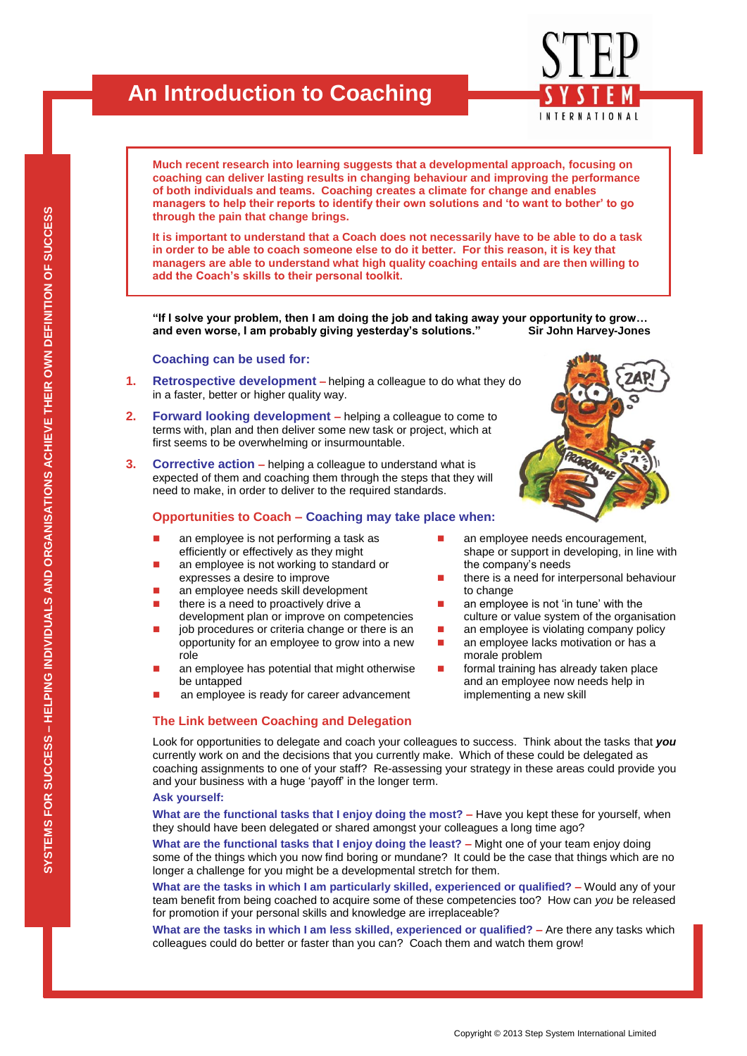# **An Introduction to Coaching**

**Much recent research into learning suggests that a developmental approach, focusing on coaching can deliver lasting results in changing behaviour and improving the performance of both individuals and teams. Coaching creates a climate for change and enables managers to help their reports to identify their own solutions and "to want to bother" to go through the pain that change brings.** 

**It is important to understand that a Coach does not necessarily have to be able to do a task in order to be able to coach someone else to do it better. For this reason, it is key that managers are able to understand what high quality coaching entails and are then willing to add the Coach"s skills to their personal toolkit.**

**"If I solve your problem, then I am doing the job and taking away your opportunity to grow… and even worse, I am probably giving yesterday"s solutions." Sir John Harvey-Jones**

### **Coaching can be used for:**

- **1. Retrospective development –** helping a colleague to do what they do in a faster, better or higher quality way.
- **2. Forward looking development –** helping a colleague to come to terms with, plan and then deliver some new task or project, which at first seems to be overwhelming or insurmountable.
- **3. Corrective action –** helping a colleague to understand what is expected of them and coaching them through the steps that they will need to make, in order to deliver to the required standards.

## **Opportunities to Coach – Coaching may take place when:**

- **a** an employee is not performing a task as efficiently or effectively as they might
- **a** an employee is not working to standard or expresses a desire to improve
- **an employee needs skill development** there is a need to proactively drive a
- development plan or improve on competencies
- job procedures or criteria change or there is an opportunity for an employee to grow into a new role
- an employee has potential that might otherwise be untapped
- an employee is ready for career advancement

## **The Link between Coaching and Delegation**

shape or support in developing, in line with the company's needs there is a need for interpersonal behaviour to change

an employee needs encouragement,

- an employee is not 'in tune' with the culture or value system of the organisation
- an employee is violating company policy an employee lacks motivation or has a morale problem
- formal training has already taken place and an employee now needs help in implementing a new skill

Look for opportunities to delegate and coach your colleagues to success. Think about the tasks that *you* currently work on and the decisions that you currently make. Which of these could be delegated as coaching assignments to one of your staff? Re-assessing your strategy in these areas could provide you and your business with a huge 'payoff' in the longer term.

#### **Ask yourself:**

**What are the functional tasks that I enjoy doing the most? –** Have you kept these for yourself, when they should have been delegated or shared amongst your colleagues a long time ago?

**What are the functional tasks that I enjoy doing the least? –** Might one of your team enjoy doing some of the things which you now find boring or mundane? It could be the case that things which are no longer a challenge for you might be a developmental stretch for them.

**What are the tasks in which I am particularly skilled, experienced or qualified? –** Would any of your team benefit from being coached to acquire some of these competencies too? How can *you* be released for promotion if your personal skills and knowledge are irreplaceable?

**What are the tasks in which I am less skilled, experienced or qualified? –** Are there any tasks which colleagues could do better or faster than you can? Coach them and watch them grow!